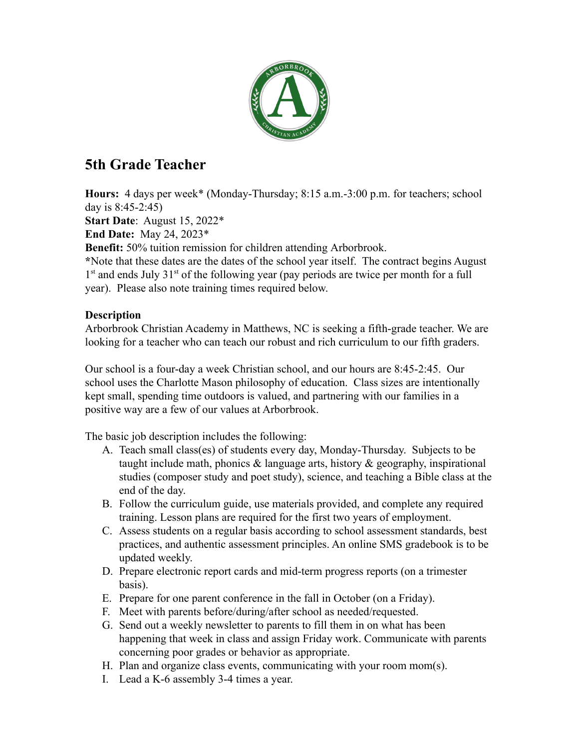

## **5th Grade Teacher**

**Hours:** 4 days per week\* (Monday-Thursday; 8:15 a.m.-3:00 p.m. for teachers; school day is 8:45-2:45)

**Start Date**: August 15, 2022\*

**End Date:** May 24, 2023\*

**Benefit:** 50% tuition remission for children attending Arborbrook.

**\***Note that these dates are the dates of the school year itself. The contract begins August 1<sup>st</sup> and ends July 31<sup>st</sup> of the following year (pay periods are twice per month for a full year). Please also note training times required below.

## **Description**

Arborbrook Christian Academy in Matthews, NC is seeking a fifth-grade teacher. We are looking for a teacher who can teach our robust and rich curriculum to our fifth graders.

Our school is a four-day a week Christian school, and our hours are 8:45-2:45. Our school uses the Charlotte Mason philosophy of education. Class sizes are intentionally kept small, spending time outdoors is valued, and partnering with our families in a positive way are a few of our values at Arborbrook.

The basic job description includes the following:

- A. Teach small class(es) of students every day, Monday-Thursday. Subjects to be taught include math, phonics  $\&$  language arts, history  $\&$  geography, inspirational studies (composer study and poet study), science, and teaching a Bible class at the end of the day.
- B. Follow the curriculum guide, use materials provided, and complete any required training. Lesson plans are required for the first two years of employment.
- C. Assess students on a regular basis according to school assessment standards, best practices, and authentic assessment principles. An online SMS gradebook is to be updated weekly.
- D. Prepare electronic report cards and mid-term progress reports (on a trimester basis).
- E. Prepare for one parent conference in the fall in October (on a Friday).
- F. Meet with parents before/during/after school as needed/requested.
- G. Send out a weekly newsletter to parents to fill them in on what has been happening that week in class and assign Friday work. Communicate with parents concerning poor grades or behavior as appropriate.
- H. Plan and organize class events, communicating with your room mom(s).
- I. Lead a K-6 assembly 3-4 times a year.